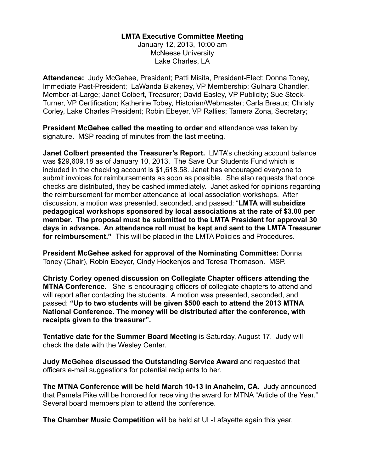## **LMTA Executive Committee Meeting**

January 12, 2013, 10:00 am McNeese University Lake Charles, LA

**Attendance:** Judy McGehee, President; Patti Misita, President-Elect; Donna Toney, Immediate Past-President; LaWanda Blakeney, VP Membership; Gulnara Chandler, Member-at-Large; Janet Colbert, Treasurer; David Easley, VP Publicity; Sue Steck-Turner, VP Certification; Katherine Tobey, Historian/Webmaster; Carla Breaux; Christy Corley, Lake Charles President; Robin Ebeyer, VP Rallies; Tamera Zona, Secretary;

**President McGehee called the meeting to order** and attendance was taken by signature. MSP reading of minutes from the last meeting.

**Janet Colbert presented the Treasurer's Report.** LMTA's checking account balance was \$29,609.18 as of January 10, 2013. The Save Our Students Fund which is included in the checking account is \$1,618.58. Janet has encouraged everyone to submit invoices for reimbursements as soon as possible. She also requests that once checks are distributed, they be cashed immediately. Janet asked for opinions regarding the reimbursement for member attendance at local association workshops. After discussion, a motion was presented, seconded, and passed: "**LMTA will subsidize pedagogical workshops sponsored by local associations at the rate of \$3.00 per member. The proposal must be submitted to the LMTA President for approval 30 days in advance. An attendance roll must be kept and sent to the LMTA Treasurer for reimbursement."** This will be placed in the LMTA Policies and Procedures.

**President McGehee asked for approval of the Nominating Committee:** Donna Toney (Chair), Robin Ebeyer, Cindy Hockenjos and Teresa Thomason. MSP.

**Christy Corley opened discussion on Collegiate Chapter officers attending the MTNA Conference.** She is encouraging officers of collegiate chapters to attend and will report after contacting the students. A motion was presented, seconded, and passed: **"Up to two students will be given \$500 each to attend the 2013 MTNA National Conference. The money will be distributed after the conference, with receipts given to the treasurer".** 

**Tentative date for the Summer Board Meeting** is Saturday, August 17. Judy will check the date with the Wesley Center.

**Judy McGehee discussed the Outstanding Service Award** and requested that officers e-mail suggestions for potential recipients to her.

**The MTNA Conference will be held March 10-13 in Anaheim, CA.** Judy announced that Pamela Pike will be honored for receiving the award for MTNA "Article of the Year." Several board members plan to attend the conference.

**The Chamber Music Competition** will be held at UL-Lafayette again this year.